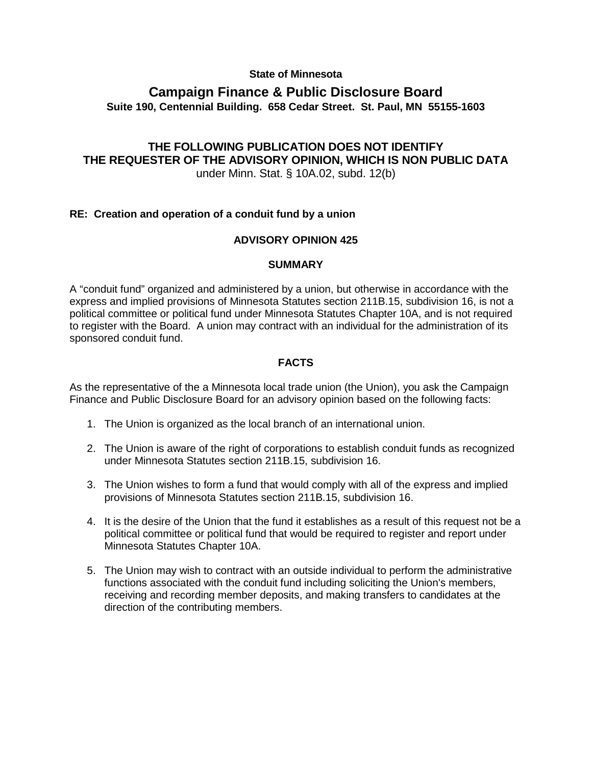#### **State of Minnesota**

## **Campaign Finance & Public Disclosure Board Suite 190, Centennial Building. 658 Cedar Street. St. Paul, MN 55155-1603**

# **THE FOLLOWING PUBLICATION DOES NOT IDENTIFY THE REQUESTER OF THE ADVISORY OPINION, WHICH IS NON PUBLIC DATA**

under Minn. Stat. § 10A.02, subd. 12(b)

### **RE: Creation and operation of a conduit fund by a union**

#### **ADVISORY OPINION 425**

#### **SUMMARY**

A "conduit fund" organized and administered by a union, but otherwise in accordance with the express and implied provisions of Minnesota Statutes section 211B.15, subdivision 16, is not a political committee or political fund under Minnesota Statutes Chapter 10A, and is not required to register with the Board. A union may contract with an individual for the administration of its sponsored conduit fund.

### **FACTS**

As the representative of the a Minnesota local trade union (the Union), you ask the Campaign Finance and Public Disclosure Board for an advisory opinion based on the following facts:

- 1. The Union is organized as the local branch of an international union.
- 2. The Union is aware of the right of corporations to establish conduit funds as recognized under Minnesota Statutes section 211B.15, subdivision 16.
- 3. The Union wishes to form a fund that would comply with all of the express and implied provisions of Minnesota Statutes section 211B.15, subdivision 16.
- 4. It is the desire of the Union that the fund it establishes as a result of this request not be a political committee or political fund that would be required to register and report under Minnesota Statutes Chapter 10A.
- 5. The Union may wish to contract with an outside individual to perform the administrative functions associated with the conduit fund including soliciting the Union's members, receiving and recording member deposits, and making transfers to candidates at the direction of the contributing members.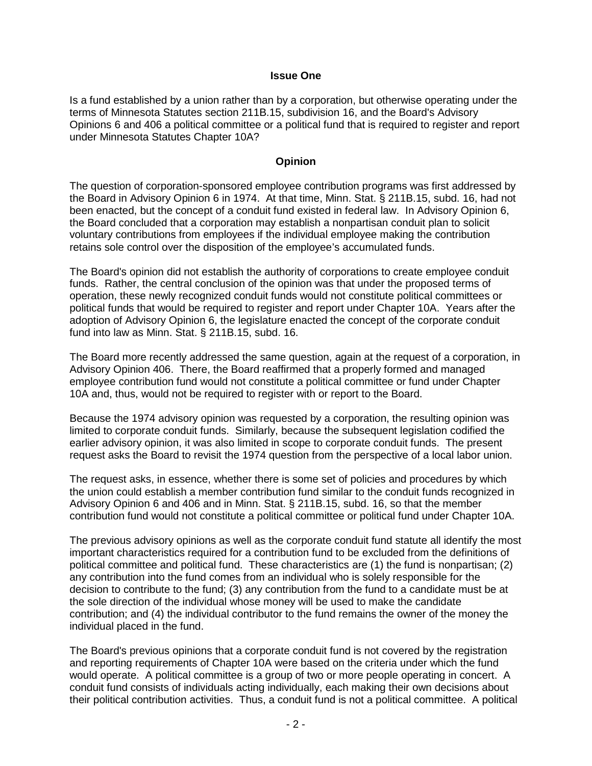#### **Issue One**

Is a fund established by a union rather than by a corporation, but otherwise operating under the terms of Minnesota Statutes section 211B.15, subdivision 16, and the Board's Advisory Opinions 6 and 406 a political committee or a political fund that is required to register and report under Minnesota Statutes Chapter 10A?

#### **Opinion**

The question of corporation-sponsored employee contribution programs was first addressed by the Board in Advisory Opinion 6 in 1974. At that time, Minn. Stat. § 211B.15, subd. 16, had not been enacted, but the concept of a conduit fund existed in federal law. In Advisory Opinion 6, the Board concluded that a corporation may establish a nonpartisan conduit plan to solicit voluntary contributions from employees if the individual employee making the contribution retains sole control over the disposition of the employee's accumulated funds.

The Board's opinion did not establish the authority of corporations to create employee conduit funds. Rather, the central conclusion of the opinion was that under the proposed terms of operation, these newly recognized conduit funds would not constitute political committees or political funds that would be required to register and report under Chapter 10A. Years after the adoption of Advisory Opinion 6, the legislature enacted the concept of the corporate conduit fund into law as Minn. Stat. § 211B.15, subd. 16.

The Board more recently addressed the same question, again at the request of a corporation, in Advisory Opinion 406. There, the Board reaffirmed that a properly formed and managed employee contribution fund would not constitute a political committee or fund under Chapter 10A and, thus, would not be required to register with or report to the Board.

Because the 1974 advisory opinion was requested by a corporation, the resulting opinion was limited to corporate conduit funds. Similarly, because the subsequent legislation codified the earlier advisory opinion, it was also limited in scope to corporate conduit funds. The present request asks the Board to revisit the 1974 question from the perspective of a local labor union.

The request asks, in essence, whether there is some set of policies and procedures by which the union could establish a member contribution fund similar to the conduit funds recognized in Advisory Opinion 6 and 406 and in Minn. Stat. § 211B.15, subd. 16, so that the member contribution fund would not constitute a political committee or political fund under Chapter 10A.

The previous advisory opinions as well as the corporate conduit fund statute all identify the most important characteristics required for a contribution fund to be excluded from the definitions of political committee and political fund. These characteristics are (1) the fund is nonpartisan; (2) any contribution into the fund comes from an individual who is solely responsible for the decision to contribute to the fund; (3) any contribution from the fund to a candidate must be at the sole direction of the individual whose money will be used to make the candidate contribution; and (4) the individual contributor to the fund remains the owner of the money the individual placed in the fund.

The Board's previous opinions that a corporate conduit fund is not covered by the registration and reporting requirements of Chapter 10A were based on the criteria under which the fund would operate. A political committee is a group of two or more people operating in concert. A conduit fund consists of individuals acting individually, each making their own decisions about their political contribution activities. Thus, a conduit fund is not a political committee. A political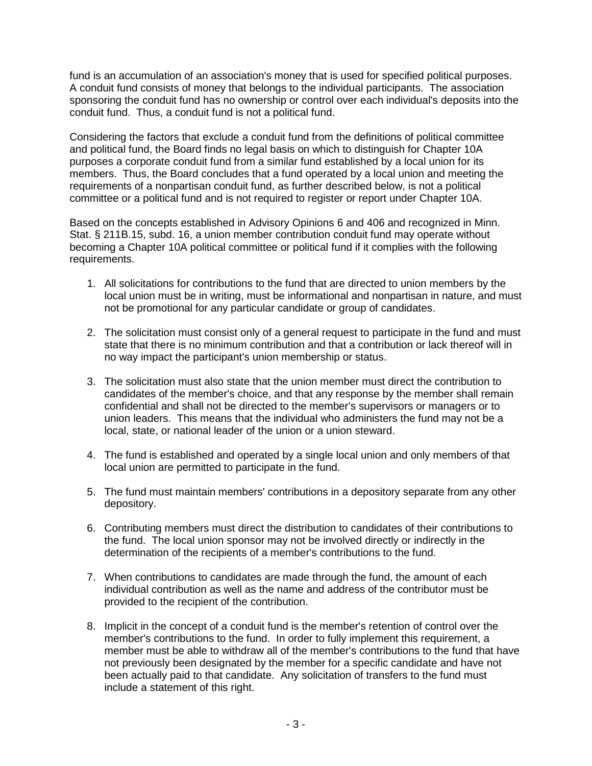fund is an accumulation of an association's money that is used for specified political purposes. A conduit fund consists of money that belongs to the individual participants. The association sponsoring the conduit fund has no ownership or control over each individual's deposits into the conduit fund. Thus, a conduit fund is not a political fund.

Considering the factors that exclude a conduit fund from the definitions of political committee and political fund, the Board finds no legal basis on which to distinguish for Chapter 10A purposes a corporate conduit fund from a similar fund established by a local union for its members. Thus, the Board concludes that a fund operated by a local union and meeting the requirements of a nonpartisan conduit fund, as further described below, is not a political committee or a political fund and is not required to register or report under Chapter 10A.

Based on the concepts established in Advisory Opinions 6 and 406 and recognized in Minn. Stat. § 211B.15, subd. 16, a union member contribution conduit fund may operate without becoming a Chapter 10A political committee or political fund if it complies with the following requirements.

- 1. All solicitations for contributions to the fund that are directed to union members by the local union must be in writing, must be informational and nonpartisan in nature, and must not be promotional for any particular candidate or group of candidates.
- 2. The solicitation must consist only of a general request to participate in the fund and must state that there is no minimum contribution and that a contribution or lack thereof will in no way impact the participant's union membership or status.
- 3. The solicitation must also state that the union member must direct the contribution to candidates of the member's choice, and that any response by the member shall remain confidential and shall not be directed to the member's supervisors or managers or to union leaders. This means that the individual who administers the fund may not be a local, state, or national leader of the union or a union steward.
- 4. The fund is established and operated by a single local union and only members of that local union are permitted to participate in the fund.
- 5. The fund must maintain members' contributions in a depository separate from any other depository.
- 6. Contributing members must direct the distribution to candidates of their contributions to the fund. The local union sponsor may not be involved directly or indirectly in the determination of the recipients of a member's contributions to the fund.
- 7. When contributions to candidates are made through the fund, the amount of each individual contribution as well as the name and address of the contributor must be provided to the recipient of the contribution.
- 8. Implicit in the concept of a conduit fund is the member's retention of control over the member's contributions to the fund. In order to fully implement this requirement, a member must be able to withdraw all of the member's contributions to the fund that have not previously been designated by the member for a specific candidate and have not been actually paid to that candidate. Any solicitation of transfers to the fund must include a statement of this right.